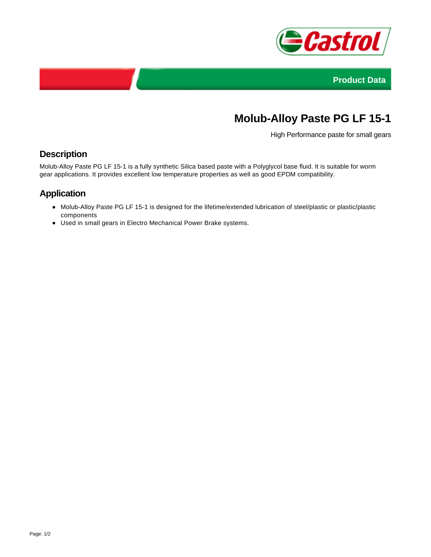



## **Molub-Alloy Paste PG LF 15-1**

High Performance paste for small gears

## **Description**

Molub-Alloy Paste PG LF 15-1 is a fully synthetic Silica based paste with a Polyglycol base fluid. It is suitable for worm gear applications. It provides excellent low temperature properties as well as good EPDM compatibility.

## **Application**

- Molub-Alloy Paste PG LF 15-1 is designed for the lifetime/extended lubrication of steel/plastic or plastic/plastic components
- Used in small gears in Electro Mechanical Power Brake systems.